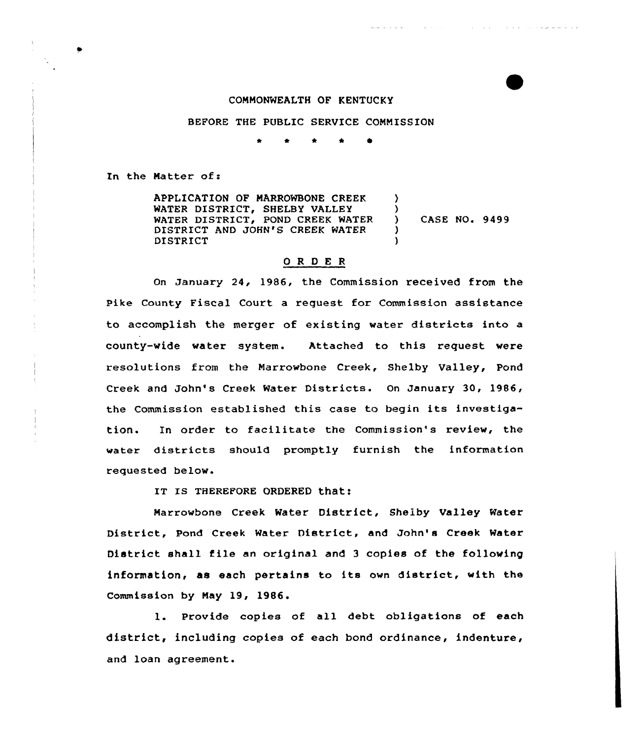#### COMMONWEALTH OF KENTUCKY

والموافر والمتحدث والمواردة

#### BEFORE THE PUBIIC SERVICE COMMISSION

<sup>a</sup> <sup>4</sup> \* \* 0

In the Matter of:

APPLICATION OF MARROWBONE CREEK WATER DISTRICT, SHEIBY VALLEY WATER DISTRICT, POND CREEK WATER DISTRICT AND JOHN'S CREEK WATER DISTRICT )  $\left\{ \right\}$ ) CASE NO. 9499  $\lambda$ )

# ORDER

On January 24, 1986, the Commission received from the Pike County Fiscal Court a request for Commission assistance to accomplish the merger of existing water districts into a county-wide water system. Attached to this request were resolutions from the Marrowbone Creek, Shelby Valley, Pond Creek and John's Creek Water Districts. On January 30, 1986, the Commission established this case to begin its investigation. In order to facilitate the Commission's review, the water distxicts should promptly furnish the information requested below.

IT IS THEREFORE ORDERED that:

Marrowbone Creek Water District, Shelby Valley Water Distxict, Pond Creek Water District, and John's Cxeek Watex District shall file an original and <sup>3</sup> copies of the following information, as each pertains to its own district, with the Commission by May 19, 1986.

1. Provide copies of all debt obligations of each district, including copies of each bond ordinance, indenture, and loan agreement.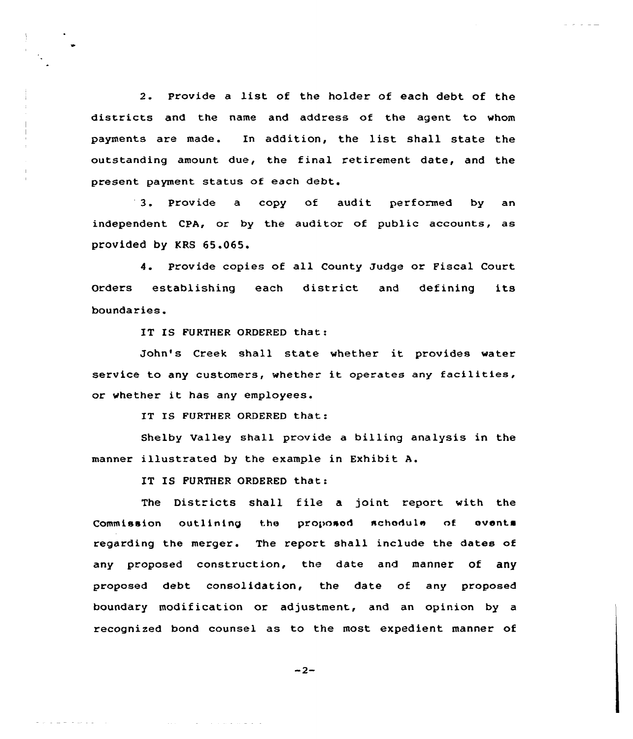2. Provide <sup>a</sup> list of the holder of each debt of the districts and the name and address of the agent to whom payments are made. In addition, the list shall state the outstanding amount due, the final retirement date, and the present payment status of each debt.

3. Provide <sup>a</sup> copy of audit performed by an independent CPA, or by the auditor of public accounts, as provided by KRS 65.065.

4. Provide copies of all County Judge or Fiscal Court Orders establishing each district and defining its boundaries.

IT IS FURTHER ORDERED that:

John's Creek shall state whether it provides water service to any customers, whether it operates any facilities, or whether it has any employees.

IT IS FURTHER ORDERED that:

Shelby Valley shall provide a billing analysis in the manner illustrated by the example in Exhibit A.

IT IS FURTHER ORDERED that:

القاريق مقامة القائدة والمنابي والمتحدث والمتحدث

and dependence of the control

The Districts shall file a joint report with the Commission outlining the proposed schedule of events regarding the merger. The report shall include the dates of any proposed construction, the date and manner of any proposed debt consolidation, the date of any proposed boundary modification or adjustment, and an opinion by a recognized bond counsel as to the most expedient manner of

 $-2-$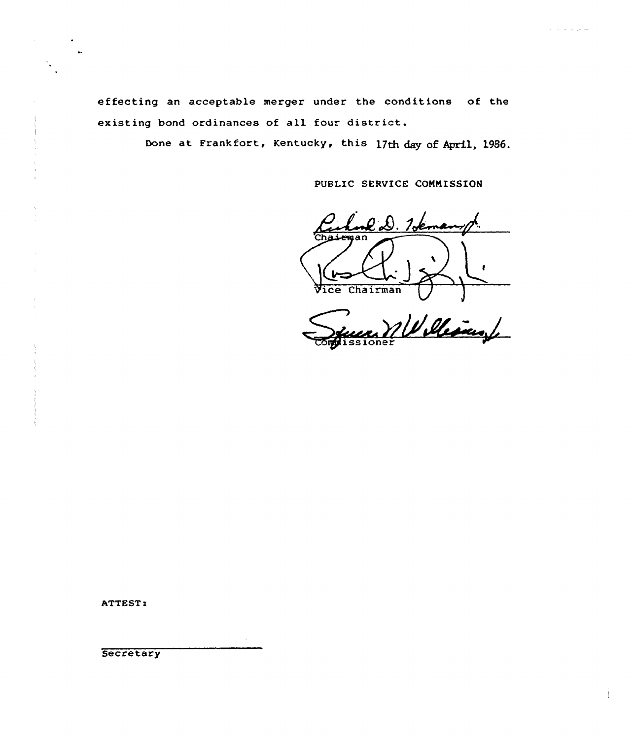effecting an acceptable merger under the conditions of the existing bond ordinances of all four district.

Done at Frankfort, Kentucky, this 17th day of April, 1986.

PUBLIC SERVICE COMMISSION

 $\frac{1}{2}$ Vice Chairman

Williams

ATTEST:

Secretary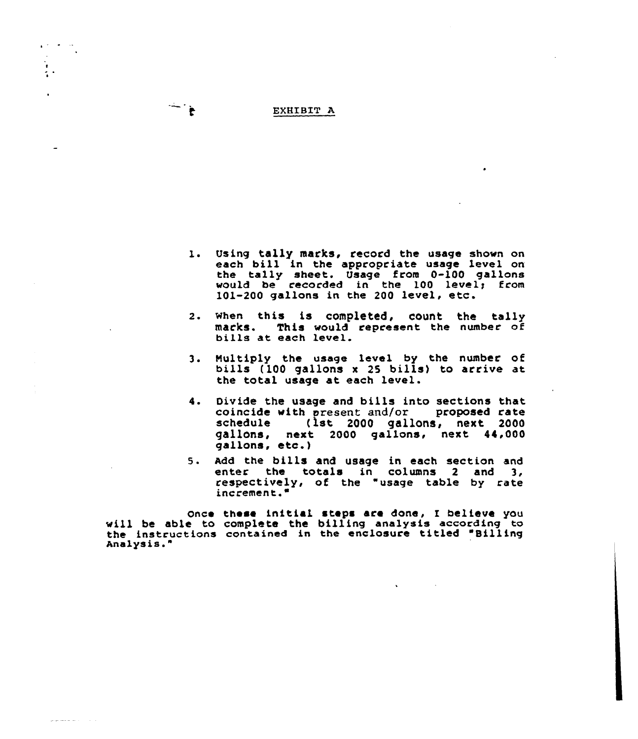### EXHIBIT A

 $\frac{1}{\sqrt{2}}\sum_{i=1}^{n} \frac{1}{i} \sum_{j=1}^{n} \frac{1}{j} \sum_{j=1}^{n} \frac{1}{j} \sum_{j=1}^{n} \frac{1}{j} \sum_{j=1}^{n} \frac{1}{j} \sum_{j=1}^{n} \frac{1}{j} \sum_{j=1}^{n} \frac{1}{j} \sum_{j=1}^{n} \frac{1}{j} \sum_{j=1}^{n} \frac{1}{j} \sum_{j=1}^{n} \frac{1}{j} \sum_{j=1}^{n} \frac{1}{j} \sum_{j=1}^{n} \frac{1}{j} \sum_{j=1$ 

 $\frac{1}{4}$ 

 $\mathcal{L}_{\mathcal{C}}$  and  $\mathcal{L}_{\mathcal{C}}$  and  $\mathcal{L}_{\mathcal{C}}$  and  $\mathcal{L}_{\mathcal{C}}$ 

- 1. Using tally marks, record the usage shown on each bill in the appropriate usage level on the tally sheet. Usage from 0-100 gallon would be recorded in the 100 level; from 101-200 gallons in the <sup>200</sup> level, etc.
- 2. when this is completed, count the tally marks. This would represent the number of<br>bills at each level.
- 3. Multiply the usage level by the number of bills (100 gallons <sup>x</sup> <sup>25</sup> bills} to arrive at the total usage at each level.
- 4. Oivide the usage and bills into sections that coincide with present and/or proposed cate schedule (1st 2000 gallons, next 2000 gallons, next 2000 gallons, next 44,000 gallons. etc.}
- 5. Add the bills and usage in each section and<br>enter the totals in columns 2 and 3, respectively, of the "usage table by rate increment."

Once these initial steps are done, I believe you will be able to complete the billing analysis according to the instructions contained in the enclosure titled "Billing Ana1ys is. "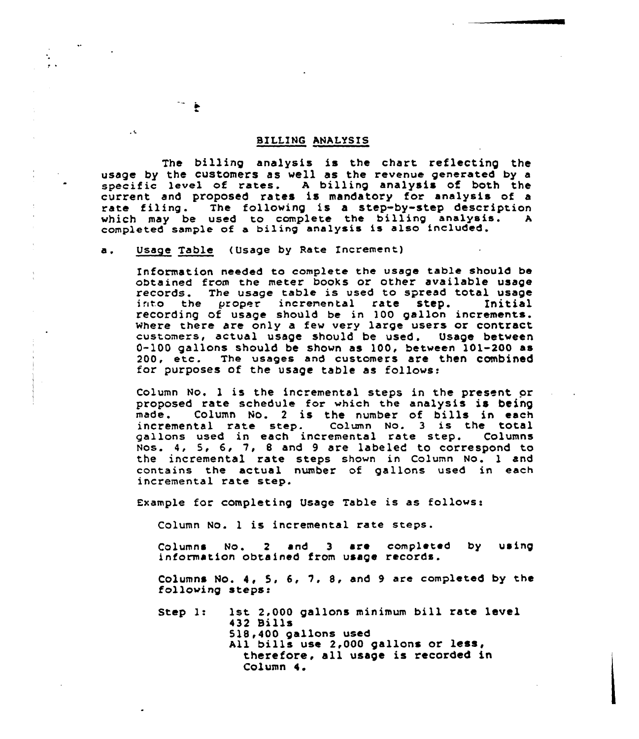## BILLING ANALYSIS

The billing analysis is the chart reflecting the usage by the customers as well as the revenue generated by a specific level of rates. A billing analysis of both the current and proposed rates is mandatory for analysis of a rate filing. The following is a step-by-step description<br>which may be used to complete the billing analysis. A which may be used to complete the billing analysis. completed sample of a biling analysis is also included.

a. Usage Table (Usage by Rate Increment)

Information needed to complete the usage table should be obtained from the meter books or other available usage<br>records. The usage table is used to spread total usage<br>into the proper incremental rate step. Initial the proper incremental rate step. recording of usage should be in 100 gallon increments. where there are only a few very large users or contract customers, actual usage should be used. Usage between 0-100 gallons should be shown as 100, between 101-200 as 200, etc. The usages and customers are then combined for purposes of the usage table as follows:

Column No. <sup>1</sup> is the incremental steps in the present or proposed rate schedule for which the analysis is being<br>made. Column No. 2 is the number of bills in each column No. 2 is the number of bills in each incremental rate step. Column No. 3 is the total<br>gallons used in each incremental rate step. Columns gallons used in each incremental rate step. Nos. 4, 5, 6, 7, <sup>8</sup> and <sup>9</sup> are labeled to correspond to the incremental rate steps shown in Column No. <sup>1</sup> and contains the actual number of gallons used in each incremental rate step.

Example for completing Usage Table is as follows:

Column No. <sup>1</sup> is incremental rate steps.

Columns  $N_0$ ,  $2$  and  $3$  are completed by using information obtained from usage records.

Columns No. 4, 5, 6, 1, 8, and <sup>9</sup> are completed by the following steps:

Step 1: 1st 2,000 gallons minimum bill rate level 432 Bills 518,400 gallons used All bills use 2,000 gallons or less, therefore, all usage is recorded in Column 4.

 $\ddot{\bullet}$ 

 $\sim$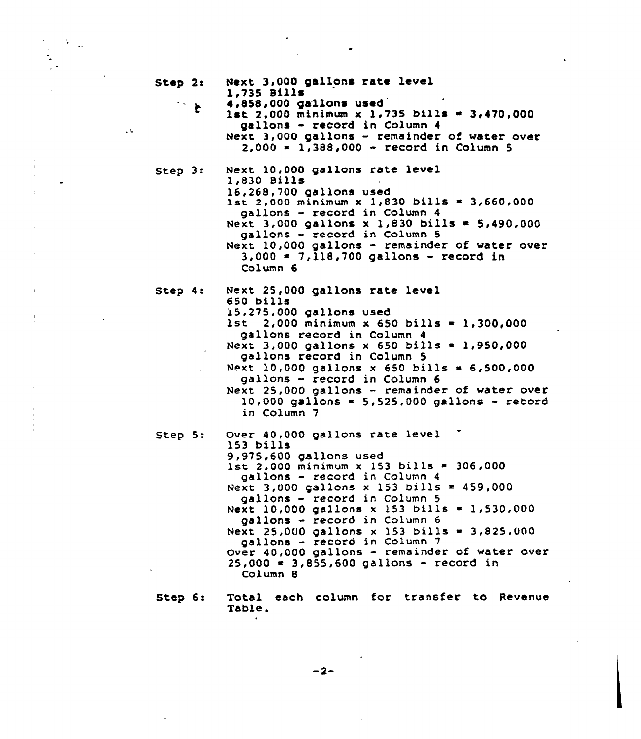| Step $2:$ |              | Next 3,000 gallons rate level<br>1,735 Bills                                                                                                                                                                                                                                                                                                                                                                                                                                                                   |
|-----------|--------------|----------------------------------------------------------------------------------------------------------------------------------------------------------------------------------------------------------------------------------------------------------------------------------------------------------------------------------------------------------------------------------------------------------------------------------------------------------------------------------------------------------------|
|           | $\mathbf{f}$ | 4,858,000 gallons used<br>1st 2,000 minimum x 1.735 bills = 3,470,000<br>gallons - record in Column 4<br>Next 3,000 gallons - remainder of water over<br>$2,000 = 1,388,000 - record in Column 5$                                                                                                                                                                                                                                                                                                              |
| Step $3:$ |              | Next 10,000 gallons rate level<br>1,830 Bills<br>16,268,700 gallons used<br>$1st$ 2,000 minimum x 1,830 bills = 3,660,000<br>gallons - record in Column 4<br>Next 3,000 gallons x 1,830 bills = 5,490,000<br>gallons - record in Column 5<br>Next 10,000 gallons - remainder of water over<br>$3,000 = 7,118,700$ gallons - record in<br>Column 6                                                                                                                                                              |
| Step 4:   |              | Next 25,000 gallons rate level<br>650 bills<br>15,275,000 gallons used<br>$1st$ 2,000 minimum x 650 bills = 1,300,000<br>gallons record in Column 4<br>Next 3,000 gallons x 650 bills = 1,950,000<br>gallons record in Column 5<br>Next 10,000 gallons x 650 bills = 6,500,000<br>gallons - record in Column 6<br>Next 25,000 gallons - remainder of water over<br>$10,000$ gallons = 5,525,000 gallons - record<br>in Column 7                                                                                |
| Step 5:   |              | Over 40,000 gallons rate level<br>153 bills<br>9,975,600 gallons used<br>1st 2,000 minimum x 153 bills = 306,000<br>gallons - record in Column 4<br>Next 3,000 gallons x 153 bills = 459,000<br>gallons - record in Column 5<br>Next 10,000 gallons x 153 bills = 1,530,000<br>gallons - record in Column 6<br>Next 25,000 gallons x 153 bills = 3,825,000<br>gallons - record in Column 7<br>Over 40,000 gallons - remainder of water over<br>$25,000 = 3,855,600$ gallons - record in<br>Column <sub>8</sub> |

 $\bullet$ 

 $\sim 30\,M_{\odot}$ 

 $\mathcal{L}$ 

 $\bar{\lambda}$ 

 $\mathcal{L}$ 

 $\overline{a}$ 

 $\omega(\omega,\omega) = \omega(\omega,\omega) = \omega(\omega,\omega,\omega,\omega)$ 

Total each column for transfer to Revenue Step 6: Table.

 $-2-$ 

 $\lambda$  . The second contract  $\lambda$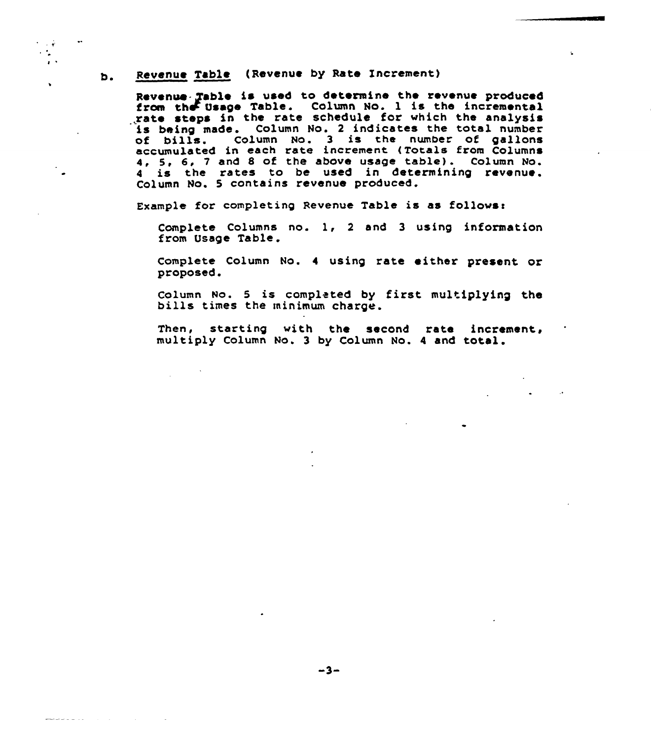#### Revenue Table (Revenue by Rate Increment) b.

 $\sim 10^4$  $\epsilon$  .  $\lambda$  .

<u>ana ara-distriktor (m. 19</u>

Revenue- Table is used to determine the revenue produced from the Usage Table. Column No. 1 is the incremental<br>grate steps in the rate schedule for which the analysis rate steps in the rate schedule for which the analysis being made. Column No. 2 indicates the total number of bills. Column No. 2 indicates the coeal humber<br>of bills. Column No. 3 is the number of gallon accumulated in each rate increment (Totals from Columns 4, 5, 6, <sup>7</sup> and <sup>S</sup> of the above usage table) . Column No. 4 is the rates to be used in determining revenue Column No. 5 contains revenue produced

Example for completing Revenue Table is as follows:

Complete Columns no. 1, <sup>2</sup> and <sup>3</sup> using informatian from Usage Table.

Complete Column No. <sup>4</sup> using rate either present or proposed.

Column No. 5 is completed by first multiplying the bills times the minimum charge.

Then, starting with the second rate increment, multiply Column No. <sup>3</sup> by Column No. <sup>4</sup> and total.